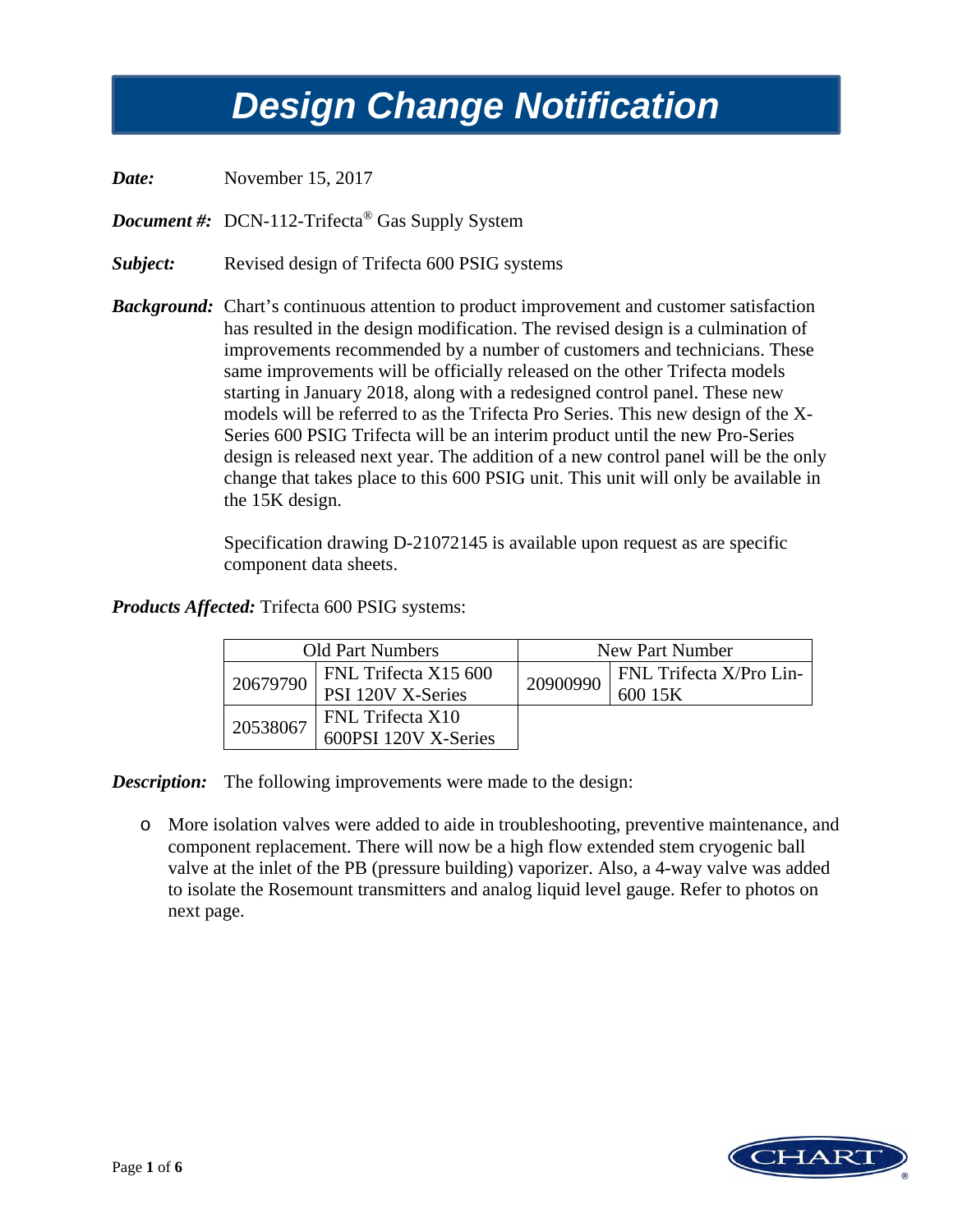## *Design Change Notification Design Change Notification*

*Date:* November 15, 2017

*Document #*: DCN-112-Trifecta<sup>®</sup> Gas Supply System

*Subject:* Revised design of Trifecta 600 PSIG systems

**Background:** Chart's continuous attention to product improvement and customer satisfaction has resulted in the design modification. The revised design is a culmination of improvements recommended by a number of customers and technicians. These same improvements will be officially released on the other Trifecta models starting in January 2018, along with a redesigned control panel. These new models will be referred to as the Trifecta Pro Series. This new design of the X-Series 600 PSIG Trifecta will be an interim product until the new Pro-Series design is released next year. The addition of a new control panel will be the only change that takes place to this 600 PSIG unit. This unit will only be available in the 15K design.

> Specification drawing D-21072145 is available upon request as are specific component data sheets.

## *Products Affected:* Trifecta 600 PSIG systems:

| <b>Old Part Numbers</b> |                                           | New Part Number |                                           |
|-------------------------|-------------------------------------------|-----------------|-------------------------------------------|
| 20679790                | FNL Trifecta X15 600<br>PSI 120V X-Series | 20900990        | <b>FNL Trifecta X/Pro Lin-</b><br>600 15K |
| 20538067                | FNL Trifecta X10<br>600PSI 120V X-Series  |                 |                                           |

*Description:* The following improvements were made to the design:

o More isolation valves were added to aide in troubleshooting, preventive maintenance, and component replacement. There will now be a high flow extended stem cryogenic ball valve at the inlet of the PB (pressure building) vaporizer. Also, a 4-way valve was added to isolate the Rosemount transmitters and analog liquid level gauge. Refer to photos on next page.

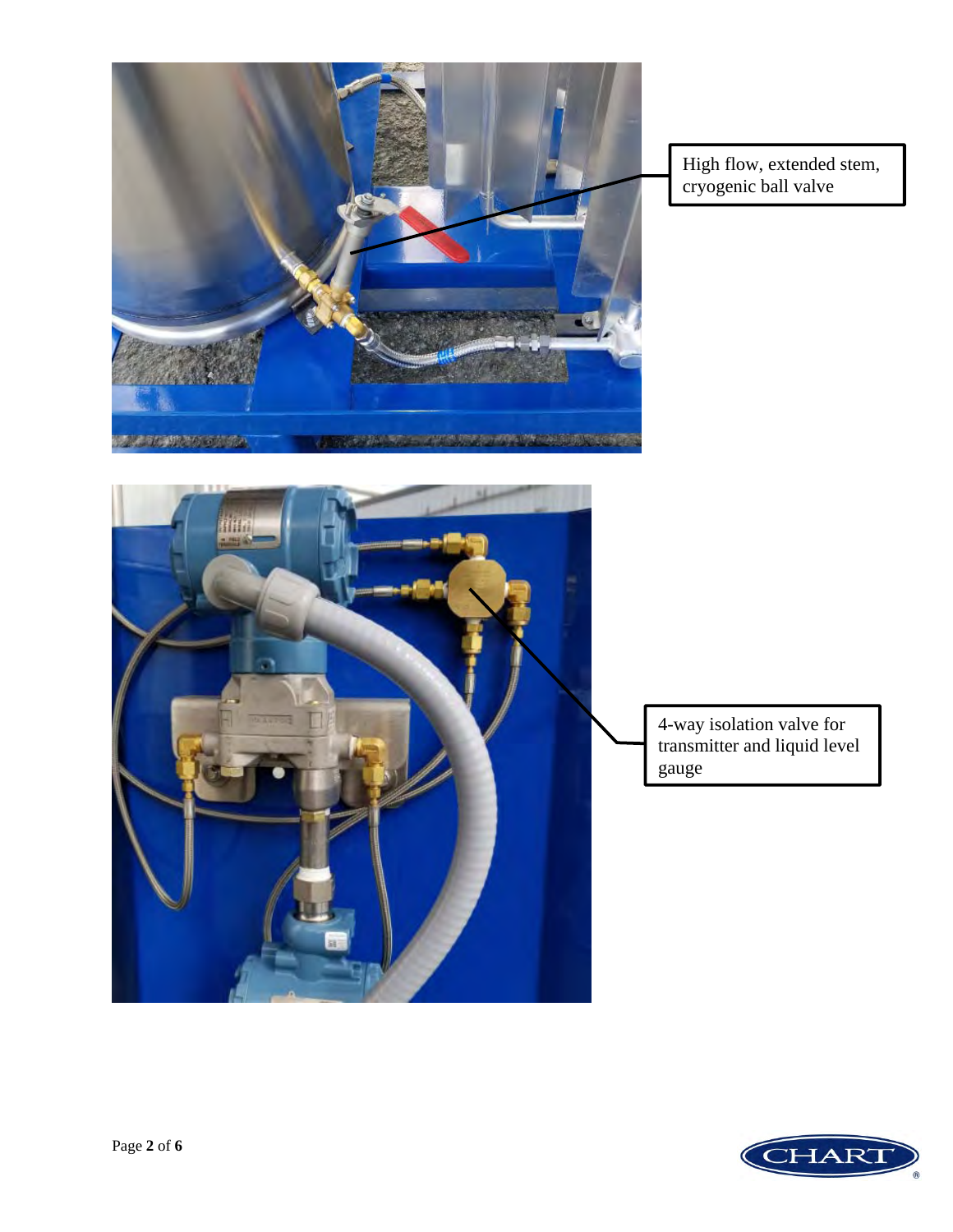

 High flow, extended stem, cryogenic ball valve



4-way isolation valve for transmitter and liquid level gauge

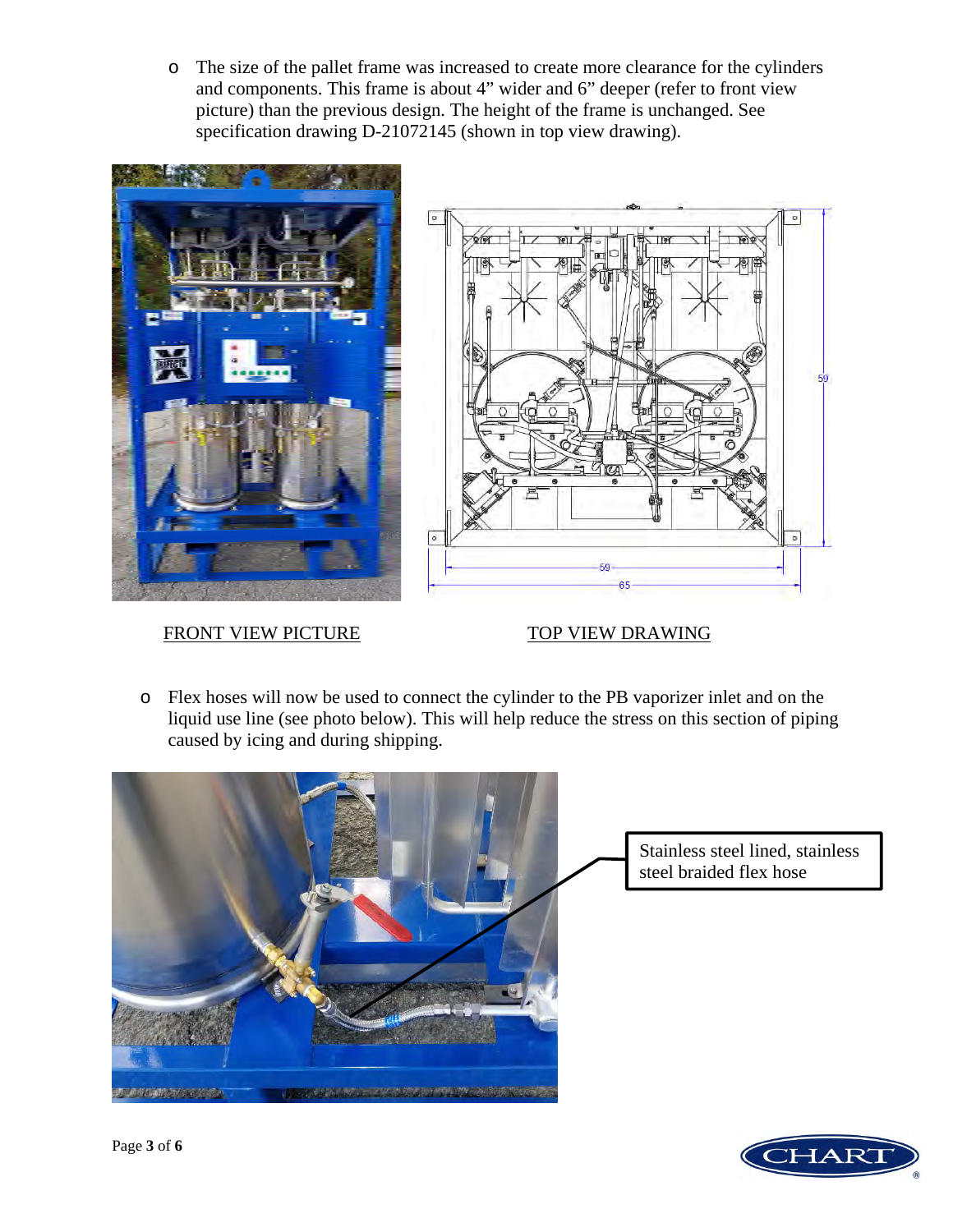o The size of the pallet frame was increased to create more clearance for the cylinders and components. This frame is about 4" wider and 6" deeper (refer to front view picture) than the previous design. The height of the frame is unchanged. See specification drawing D-21072145 (shown in top view drawing).



## FRONT VIEW PICTURE TOP VIEW DRAWING



o Flex hoses will now be used to connect the cylinder to the PB vaporizer inlet and on the liquid use line (see photo below). This will help reduce the stress on this section of piping caused by icing and during shipping.



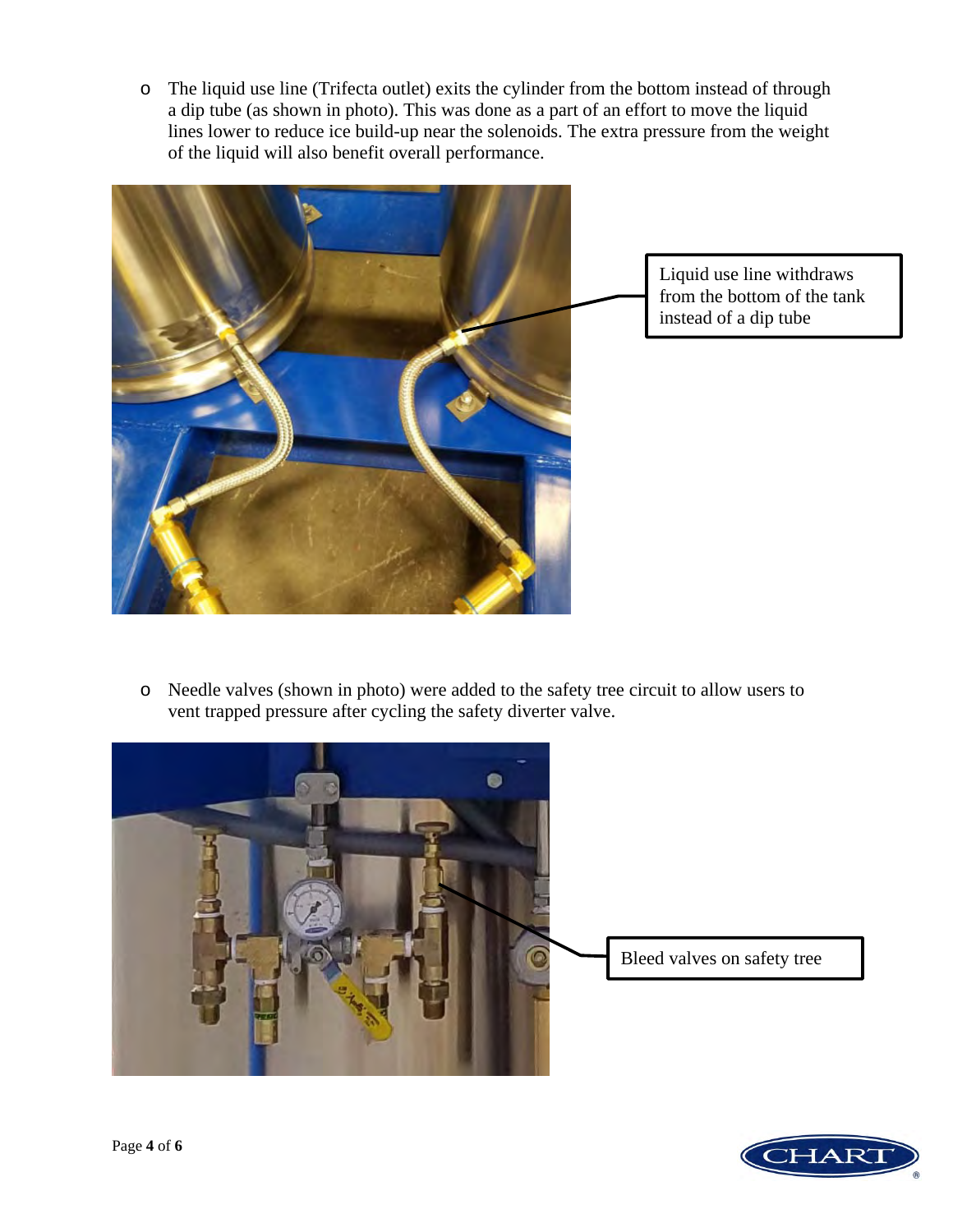o The liquid use line (Trifecta outlet) exits the cylinder from the bottom instead of through a dip tube (as shown in photo). This was done as a part of an effort to move the liquid lines lower to reduce ice build-up near the solenoids. The extra pressure from the weight of the liquid will also benefit overall performance.



Liquid use line withdraws from the bottom of the tank instead of a dip tube

o Needle valves (shown in photo) were added to the safety tree circuit to allow users to vent trapped pressure after cycling the safety diverter valve.



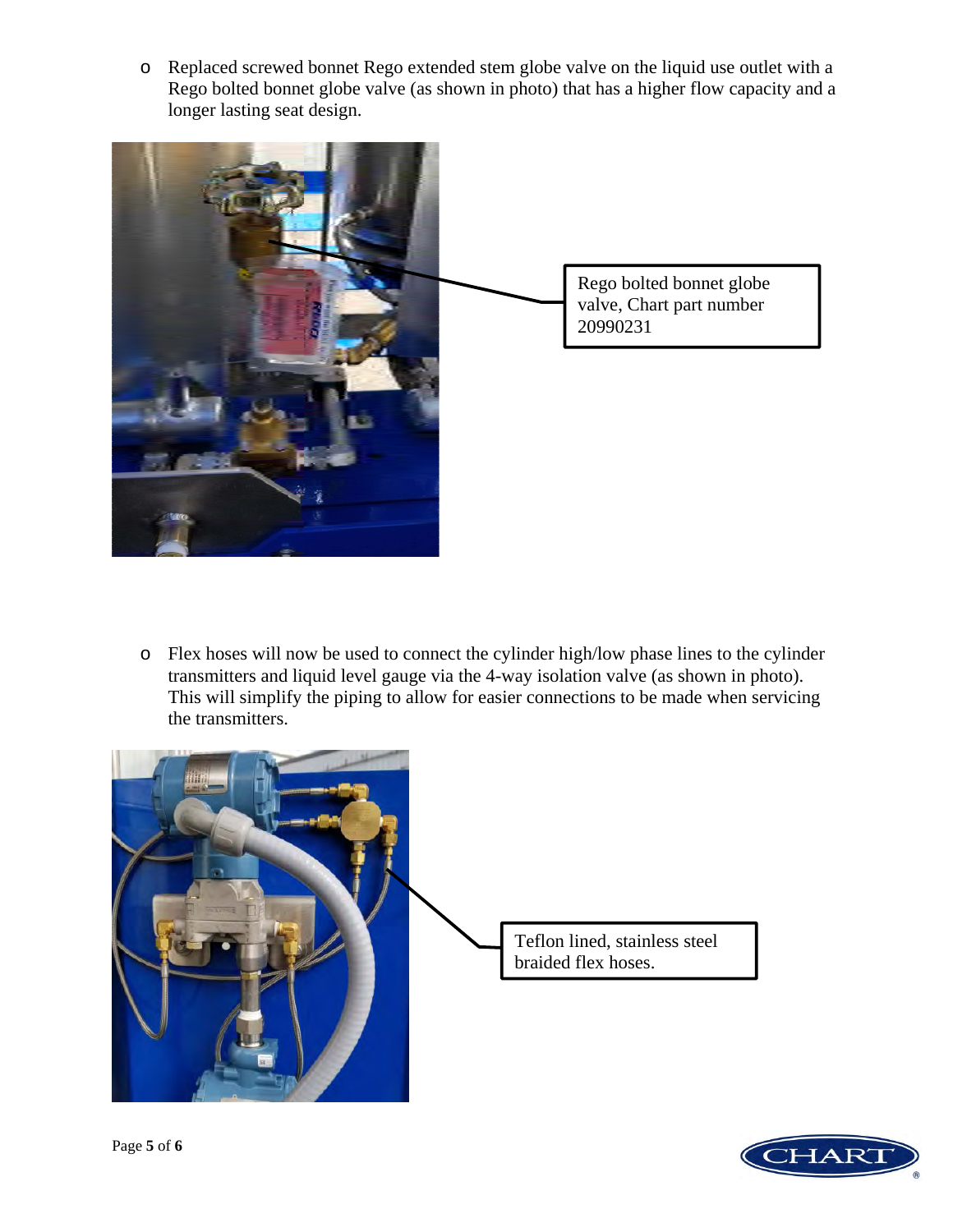o Replaced screwed bonnet Rego extended stem globe valve on the liquid use outlet with a Rego bolted bonnet globe valve (as shown in photo) that has a higher flow capacity and a longer lasting seat design.



o Flex hoses will now be used to connect the cylinder high/low phase lines to the cylinder transmitters and liquid level gauge via the 4-way isolation valve (as shown in photo). This will simplify the piping to allow for easier connections to be made when servicing the transmitters.